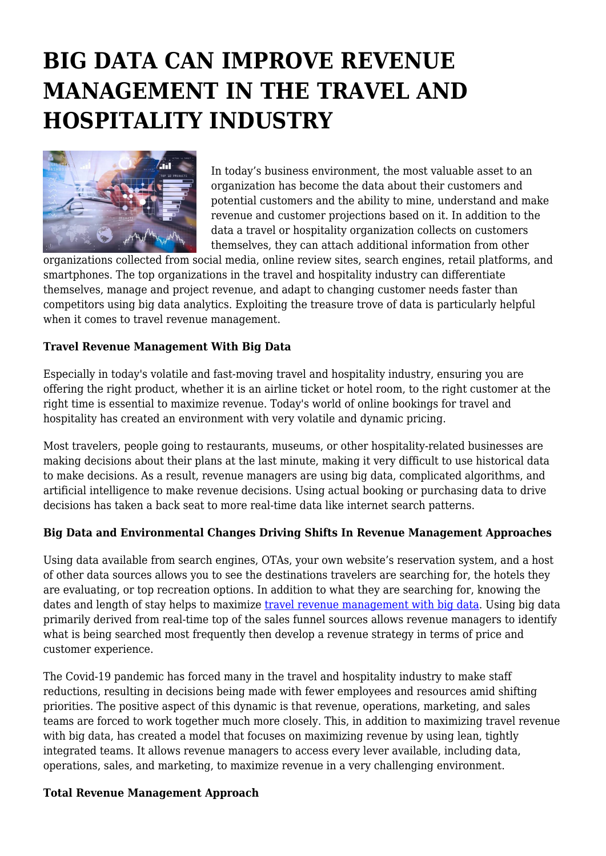# **BIG DATA CAN IMPROVE REVENUE MANAGEMENT IN THE TRAVEL AND HOSPITALITY INDUSTRY**



In today's business environment, the most valuable asset to an organization has become the data about their customers and potential customers and the ability to mine, understand and make revenue and customer projections based on it. In addition to the data a travel or hospitality organization collects on customers themselves, they can attach additional information from other

organizations collected from social media, online review sites, search engines, retail platforms, and smartphones. The top organizations in the travel and hospitality industry can differentiate themselves, manage and project revenue, and adapt to changing customer needs faster than competitors using big data analytics. Exploiting the treasure trove of data is particularly helpful when it comes to travel revenue management.

### **Travel Revenue Management With Big Data**

Especially in today's volatile and fast-moving travel and hospitality industry, ensuring you are offering the right product, whether it is an airline ticket or hotel room, to the right customer at the right time is essential to maximize revenue. Today's world of online bookings for travel and hospitality has created an environment with very volatile and dynamic pricing.

Most travelers, people going to restaurants, museums, or other hospitality-related businesses are making decisions about their plans at the last minute, making it very difficult to use historical data to make decisions. As a result, revenue managers are using big data, complicated algorithms, and artificial intelligence to make revenue decisions. Using actual booking or purchasing data to drive decisions has taken a back seat to more real-time data like internet search patterns.

#### **Big Data and Environmental Changes Driving Shifts In Revenue Management Approaches**

Using data available from search engines, OTAs, your own website's reservation system, and a host of other data sources allows you to see the destinations travelers are searching for, the hotels they are evaluating, or top recreation options. In addition to what they are searching for, knowing the dates and length of stay helps to maximize [travel revenue management with big data.](https://www.hotelmize.com/blog/big-data-solutions-for-the-travel-industry/) Using big data primarily derived from real-time top of the sales funnel sources allows revenue managers to identify what is being searched most frequently then develop a revenue strategy in terms of price and customer experience.

The Covid-19 pandemic has forced many in the travel and hospitality industry to make staff reductions, resulting in decisions being made with fewer employees and resources amid shifting priorities. The positive aspect of this dynamic is that revenue, operations, marketing, and sales teams are forced to work together much more closely. This, in addition to maximizing travel revenue with big data, has created a model that focuses on maximizing revenue by using lean, tightly integrated teams. It allows revenue managers to access every lever available, including data, operations, sales, and marketing, to maximize revenue in a very challenging environment.

#### **Total Revenue Management Approach**